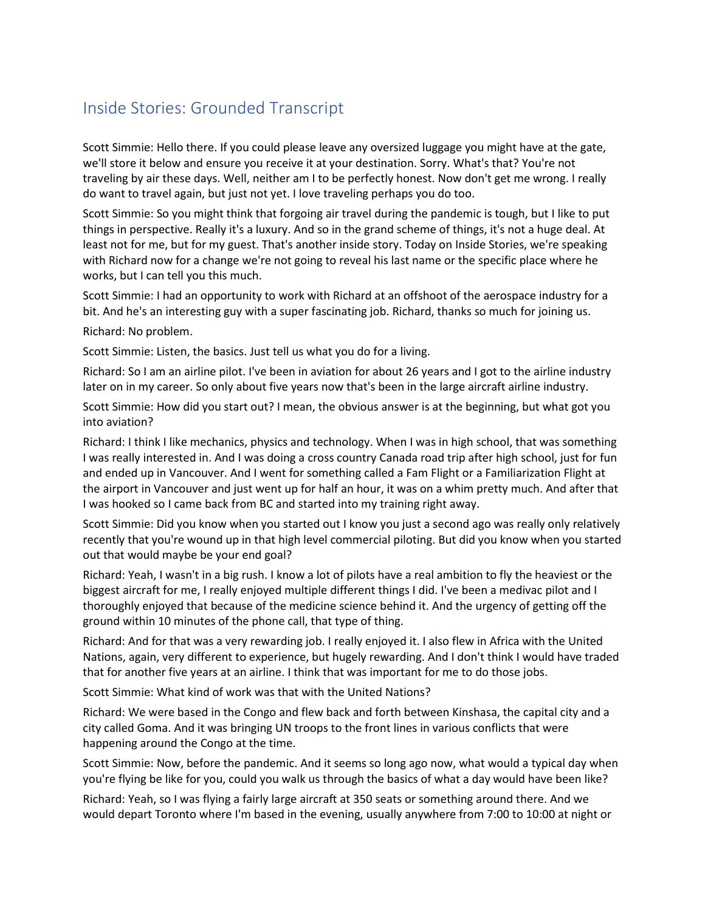## Inside Stories: Grounded Transcript

Scott Simmie: Hello there. If you could please leave any oversized luggage you might have at the gate, we'll store it below and ensure you receive it at your destination. Sorry. What's that? You're not traveling by air these days. Well, neither am I to be perfectly honest. Now don't get me wrong. I really do want to travel again, but just not yet. I love traveling perhaps you do too.

Scott Simmie: So you might think that forgoing air travel during the pandemic is tough, but I like to put things in perspective. Really it's a luxury. And so in the grand scheme of things, it's not a huge deal. At least not for me, but for my guest. That's another inside story. Today on Inside Stories, we're speaking with Richard now for a change we're not going to reveal his last name or the specific place where he works, but I can tell you this much.

Scott Simmie: I had an opportunity to work with Richard at an offshoot of the aerospace industry for a bit. And he's an interesting guy with a super fascinating job. Richard, thanks so much for joining us.

Richard: No problem.

Scott Simmie: Listen, the basics. Just tell us what you do for a living.

Richard: So I am an airline pilot. I've been in aviation for about 26 years and I got to the airline industry later on in my career. So only about five years now that's been in the large aircraft airline industry.

 Scott Simmie: How did you start out? I mean, the obvious answer is at the beginning, but what got you into aviation?

Richard: I think I like mechanics, physics and technology. When I was in high school, that was something I was really interested in. And I was doing a cross country Canada road trip after high school, just for fun and ended up in Vancouver. And I went for something called a Fam Flight or a Familiarization Flight at the airport in Vancouver and just went up for half an hour, it was on a whim pretty much. And after that I was hooked so I came back from BC and started into my training right away.

 Scott Simmie: Did you know when you started out I know you just a second ago was really only relatively recently that you're wound up in that high level commercial piloting. But did you know when you started out that would maybe be your end goal?

 Richard: Yeah, I wasn't in a big rush. I know a lot of pilots have a real ambition to fly the heaviest or the biggest aircraft for me, I really enjoyed multiple different things I did. I've been a medivac pilot and I thoroughly enjoyed that because of the medicine science behind it. And the urgency of getting off the ground within 10 minutes of the phone call, that type of thing.

Richard: And for that was a very rewarding job. I really enjoyed it. I also flew in Africa with the United Nations, again, very different to experience, but hugely rewarding. And I don't think I would have traded that for another five years at an airline. I think that was important for me to do those jobs.

Scott Simmie: What kind of work was that with the United Nations?

Richard: We were based in the Congo and flew back and forth between Kinshasa, the capital city and a city called Goma. And it was bringing UN troops to the front lines in various conflicts that were happening around the Congo at the time.

 you're flying be like for you, could you walk us through the basics of what a day would have been like? Scott Simmie: Now, before the pandemic. And it seems so long ago now, what would a typical day when

 would depart Toronto where I'm based in the evening, usually anywhere from 7:00 to 10:00 at night or Richard: Yeah, so I was flying a fairly large aircraft at 350 seats or something around there. And we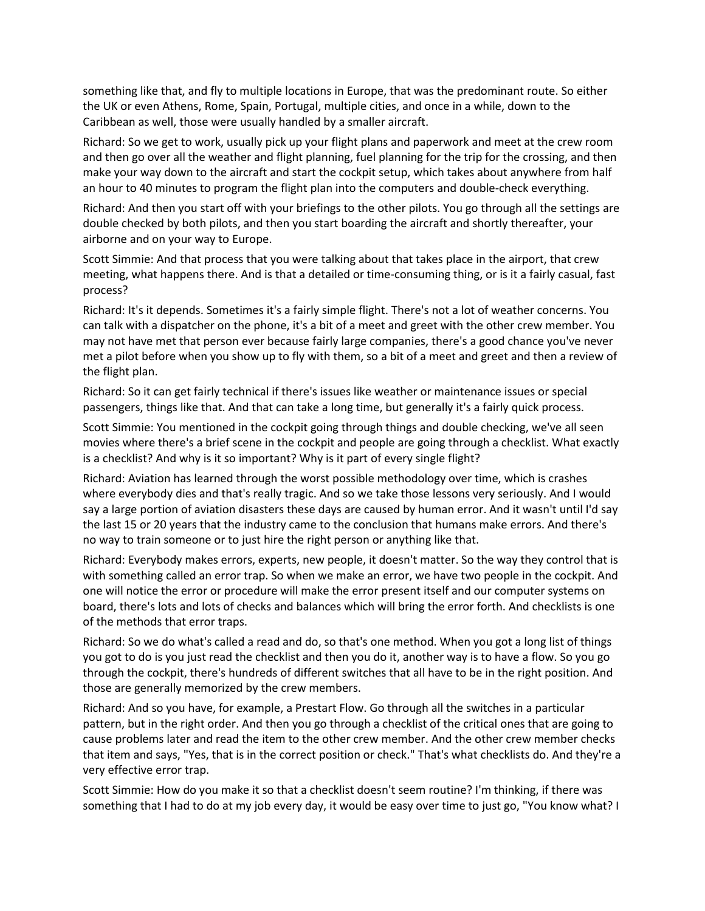something like that, and fly to multiple locations in Europe, that was the predominant route. So either the UK or even Athens, Rome, Spain, Portugal, multiple cities, and once in a while, down to the Caribbean as well, those were usually handled by a smaller aircraft.

 an hour to 40 minutes to program the flight plan into the computers and double-check everything. Richard: So we get to work, usually pick up your flight plans and paperwork and meet at the crew room and then go over all the weather and flight planning, fuel planning for the trip for the crossing, and then make your way down to the aircraft and start the cockpit setup, which takes about anywhere from half

 airborne and on your way to Europe. Richard: And then you start off with your briefings to the other pilots. You go through all the settings are double checked by both pilots, and then you start boarding the aircraft and shortly thereafter, your

 Scott Simmie: And that process that you were talking about that takes place in the airport, that crew meeting, what happens there. And is that a detailed or time-consuming thing, or is it a fairly casual, fast process?

 Richard: It's it depends. Sometimes it's a fairly simple flight. There's not a lot of weather concerns. You met a pilot before when you show up to fly with them, so a bit of a meet and greet and then a review of can talk with a dispatcher on the phone, it's a bit of a meet and greet with the other crew member. You may not have met that person ever because fairly large companies, there's a good chance you've never the flight plan.

Richard: So it can get fairly technical if there's issues like weather or maintenance issues or special passengers, things like that. And that can take a long time, but generally it's a fairly quick process.

Scott Simmie: You mentioned in the cockpit going through things and double checking, we've all seen movies where there's a brief scene in the cockpit and people are going through a checklist. What exactly is a checklist? And why is it so important? Why is it part of every single flight?

 the last 15 or 20 years that the industry came to the conclusion that humans make errors. And there's Richard: Aviation has learned through the worst possible methodology over time, which is crashes where everybody dies and that's really tragic. And so we take those lessons very seriously. And I would say a large portion of aviation disasters these days are caused by human error. And it wasn't until I'd say no way to train someone or to just hire the right person or anything like that.

 Richard: Everybody makes errors, experts, new people, it doesn't matter. So the way they control that is with something called an error trap. So when we make an error, we have two people in the cockpit. And one will notice the error or procedure will make the error present itself and our computer systems on board, there's lots and lots of checks and balances which will bring the error forth. And checklists is one of the methods that error traps.

 Richard: So we do what's called a read and do, so that's one method. When you got a long list of things you got to do is you just read the checklist and then you do it, another way is to have a flow. So you go through the cockpit, there's hundreds of different switches that all have to be in the right position. And those are generally memorized by the crew members.

Richard: And so you have, for example, a Prestart Flow. Go through all the switches in a particular pattern, but in the right order. And then you go through a checklist of the critical ones that are going to cause problems later and read the item to the other crew member. And the other crew member checks that item and says, "Yes, that is in the correct position or check." That's what checklists do. And they're a very effective error trap.

 Scott Simmie: How do you make it so that a checklist doesn't seem routine? I'm thinking, if there was something that I had to do at my job every day, it would be easy over time to just go, "You know what? I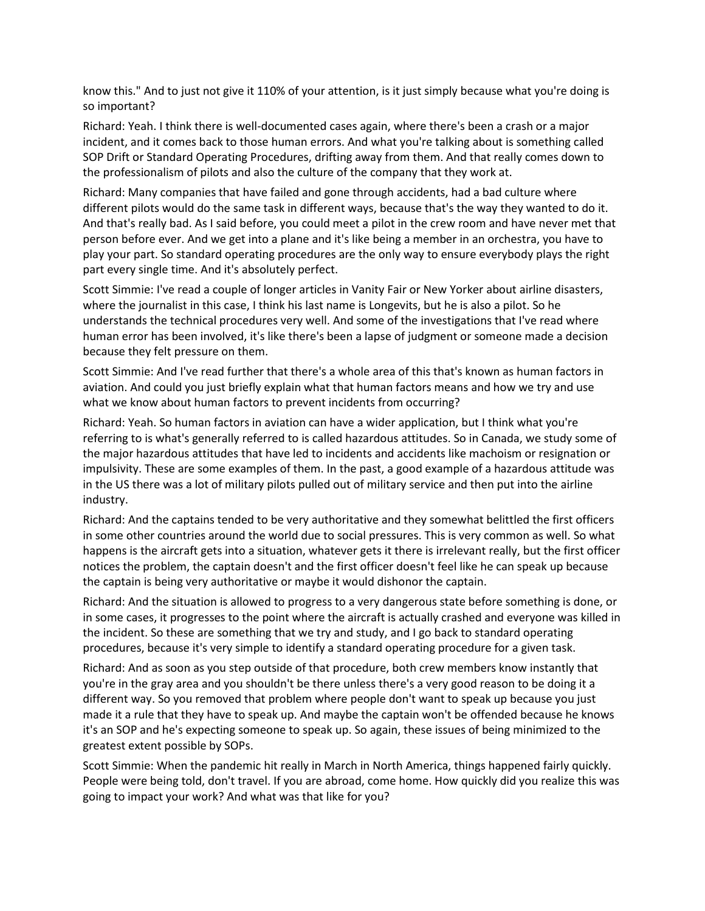know this." And to just not give it 110% of your attention, is it just simply because what you're doing is so important?

Richard: Yeah. I think there is well-documented cases again, where there's been a crash or a major incident, and it comes back to those human errors. And what you're talking about is something called SOP Drift or Standard Operating Procedures, drifting away from them. And that really comes down to the professionalism of pilots and also the culture of the company that they work at.

 different pilots would do the same task in different ways, because that's the way they wanted to do it. person before ever. And we get into a plane and it's like being a member in an orchestra, you have to Richard: Many companies that have failed and gone through accidents, had a bad culture where And that's really bad. As I said before, you could meet a pilot in the crew room and have never met that play your part. So standard operating procedures are the only way to ensure everybody plays the right part every single time. And it's absolutely perfect.

 understands the technical procedures very well. And some of the investigations that I've read where Scott Simmie: I've read a couple of longer articles in Vanity Fair or New Yorker about airline disasters, where the journalist in this case, I think his last name is Longevits, but he is also a pilot. So he human error has been involved, it's like there's been a lapse of judgment or someone made a decision because they felt pressure on them.

 aviation. And could you just briefly explain what that human factors means and how we try and use Scott Simmie: And I've read further that there's a whole area of this that's known as human factors in what we know about human factors to prevent incidents from occurring?

 referring to is what's generally referred to is called hazardous attitudes. So in Canada, we study some of in the US there was a lot of military pilots pulled out of military service and then put into the airline Richard: Yeah. So human factors in aviation can have a wider application, but I think what you're the major hazardous attitudes that have led to incidents and accidents like machoism or resignation or impulsivity. These are some examples of them. In the past, a good example of a hazardous attitude was industry.

Richard: And the captains tended to be very authoritative and they somewhat belittled the first officers in some other countries around the world due to social pressures. This is very common as well. So what happens is the aircraft gets into a situation, whatever gets it there is irrelevant really, but the first officer notices the problem, the captain doesn't and the first officer doesn't feel like he can speak up because the captain is being very authoritative or maybe it would dishonor the captain.

Richard: And the situation is allowed to progress to a very dangerous state before something is done, or in some cases, it progresses to the point where the aircraft is actually crashed and everyone was killed in the incident. So these are something that we try and study, and I go back to standard operating procedures, because it's very simple to identify a standard operating procedure for a given task.

Richard: And as soon as you step outside of that procedure, both crew members know instantly that you're in the gray area and you shouldn't be there unless there's a very good reason to be doing it a different way. So you removed that problem where people don't want to speak up because you just made it a rule that they have to speak up. And maybe the captain won't be offended because he knows it's an SOP and he's expecting someone to speak up. So again, these issues of being minimized to the greatest extent possible by SOPs.

Scott Simmie: When the pandemic hit really in March in North America, things happened fairly quickly. People were being told, don't travel. If you are abroad, come home. How quickly did you realize this was going to impact your work? And what was that like for you?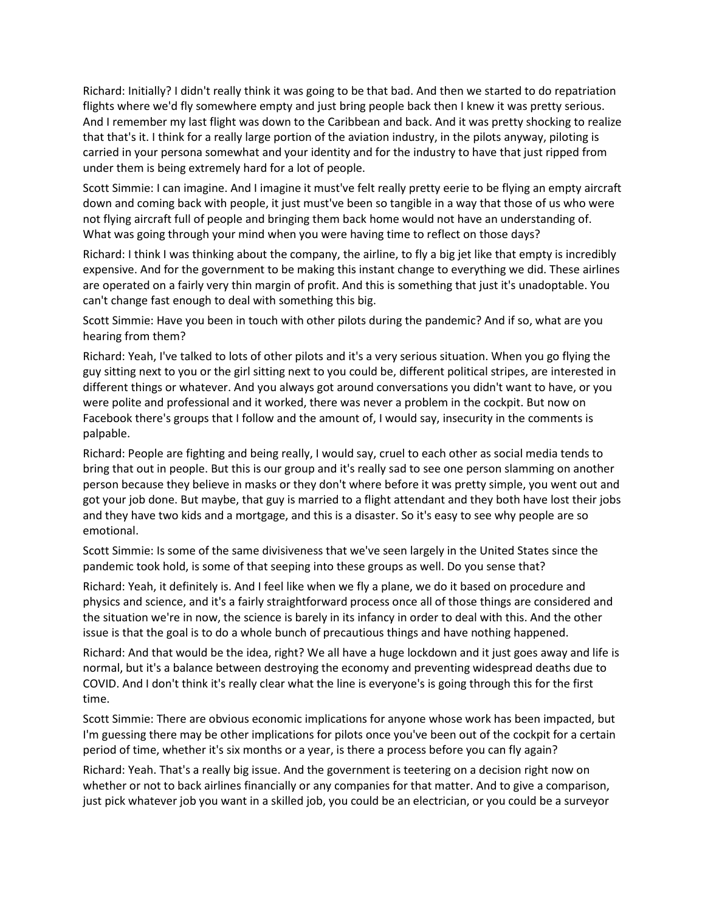Richard: Initially? I didn't really think it was going to be that bad. And then we started to do repatriation flights where we'd fly somewhere empty and just bring people back then I knew it was pretty serious. And I remember my last flight was down to the Caribbean and back. And it was pretty shocking to realize that that's it. I think for a really large portion of the aviation industry, in the pilots anyway, piloting is carried in your persona somewhat and your identity and for the industry to have that just ripped from under them is being extremely hard for a lot of people.

Scott Simmie: I can imagine. And I imagine it must've felt really pretty eerie to be flying an empty aircraft down and coming back with people, it just must've been so tangible in a way that those of us who were not flying aircraft full of people and bringing them back home would not have an understanding of. What was going through your mind when you were having time to reflect on those days?

Richard: I think I was thinking about the company, the airline, to fly a big jet like that empty is incredibly expensive. And for the government to be making this instant change to everything we did. These airlines are operated on a fairly very thin margin of profit. And this is something that just it's unadoptable. You can't change fast enough to deal with something this big.

Scott Simmie: Have you been in touch with other pilots during the pandemic? And if so, what are you hearing from them?

Richard: Yeah, I've talked to lots of other pilots and it's a very serious situation. When you go flying the guy sitting next to you or the girl sitting next to you could be, different political stripes, are interested in different things or whatever. And you always got around conversations you didn't want to have, or you were polite and professional and it worked, there was never a problem in the cockpit. But now on Facebook there's groups that I follow and the amount of, I would say, insecurity in the comments is palpable.

Richard: People are fighting and being really, I would say, cruel to each other as social media tends to bring that out in people. But this is our group and it's really sad to see one person slamming on another person because they believe in masks or they don't where before it was pretty simple, you went out and got your job done. But maybe, that guy is married to a flight attendant and they both have lost their jobs and they have two kids and a mortgage, and this is a disaster. So it's easy to see why people are so emotional.

Scott Simmie: Is some of the same divisiveness that we've seen largely in the United States since the pandemic took hold, is some of that seeping into these groups as well. Do you sense that?

Richard: Yeah, it definitely is. And I feel like when we fly a plane, we do it based on procedure and physics and science, and it's a fairly straightforward process once all of those things are considered and the situation we're in now, the science is barely in its infancy in order to deal with this. And the other issue is that the goal is to do a whole bunch of precautious things and have nothing happened.

Richard: And that would be the idea, right? We all have a huge lockdown and it just goes away and life is normal, but it's a balance between destroying the economy and preventing widespread deaths due to COVID. And I don't think it's really clear what the line is everyone's is going through this for the first time.

Scott Simmie: There are obvious economic implications for anyone whose work has been impacted, but I'm guessing there may be other implications for pilots once you've been out of the cockpit for a certain period of time, whether it's six months or a year, is there a process before you can fly again?

 just pick whatever job you want in a skilled job, you could be an electrician, or you could be a surveyor Richard: Yeah. That's a really big issue. And the government is teetering on a decision right now on whether or not to back airlines financially or any companies for that matter. And to give a comparison,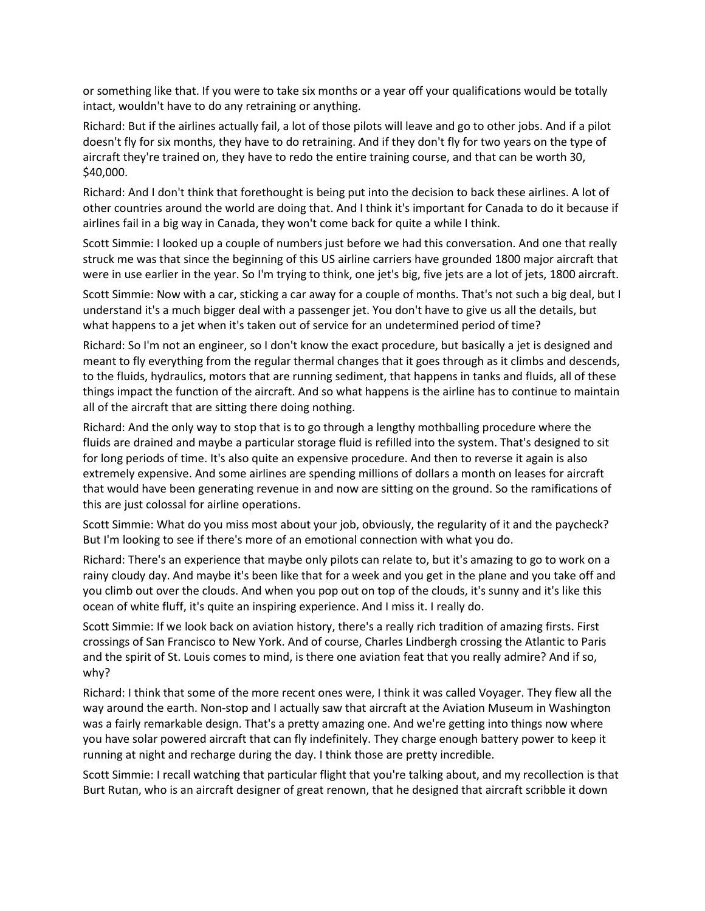or something like that. If you were to take six months or a year off your qualifications would be totally intact, wouldn't have to do any retraining or anything.

 Richard: But if the airlines actually fail, a lot of those pilots will leave and go to other jobs. And if a pilot doesn't fly for six months, they have to do retraining. And if they don't fly for two years on the type of aircraft they're trained on, they have to redo the entire training course, and that can be worth 30, \$40,000.

Richard: And I don't think that forethought is being put into the decision to back these airlines. A lot of other countries around the world are doing that. And I think it's important for Canada to do it because if airlines fail in a big way in Canada, they won't come back for quite a while I think.

Scott Simmie: I looked up a couple of numbers just before we had this conversation. And one that really struck me was that since the beginning of this US airline carriers have grounded 1800 major aircraft that were in use earlier in the year. So I'm trying to think, one jet's big, five jets are a lot of jets, 1800 aircraft.

Scott Simmie: Now with a car, sticking a car away for a couple of months. That's not such a big deal, but I understand it's a much bigger deal with a passenger jet. You don't have to give us all the details, but what happens to a jet when it's taken out of service for an undetermined period of time?

 things impact the function of the aircraft. And so what happens is the airline has to continue to maintain Richard: So I'm not an engineer, so I don't know the exact procedure, but basically a jet is designed and meant to fly everything from the regular thermal changes that it goes through as it climbs and descends, to the fluids, hydraulics, motors that are running sediment, that happens in tanks and fluids, all of these all of the aircraft that are sitting there doing nothing.

 Richard: And the only way to stop that is to go through a lengthy mothballing procedure where the fluids are drained and maybe a particular storage fluid is refilled into the system. That's designed to sit for long periods of time. It's also quite an expensive procedure. And then to reverse it again is also extremely expensive. And some airlines are spending millions of dollars a month on leases for aircraft that would have been generating revenue in and now are sitting on the ground. So the ramifications of this are just colossal for airline operations.

Scott Simmie: What do you miss most about your job, obviously, the regularity of it and the paycheck? But I'm looking to see if there's more of an emotional connection with what you do.

 rainy cloudy day. And maybe it's been like that for a week and you get in the plane and you take off and Richard: There's an experience that maybe only pilots can relate to, but it's amazing to go to work on a you climb out over the clouds. And when you pop out on top of the clouds, it's sunny and it's like this ocean of white fluff, it's quite an inspiring experience. And I miss it. I really do.

Scott Simmie: If we look back on aviation history, there's a really rich tradition of amazing firsts. First crossings of San Francisco to New York. And of course, Charles Lindbergh crossing the Atlantic to Paris and the spirit of St. Louis comes to mind, is there one aviation feat that you really admire? And if so, why?

 Richard: I think that some of the more recent ones were, I think it was called Voyager. They flew all the way around the earth. Non-stop and I actually saw that aircraft at the Aviation Museum in Washington was a fairly remarkable design. That's a pretty amazing one. And we're getting into things now where you have solar powered aircraft that can fly indefinitely. They charge enough battery power to keep it running at night and recharge during the day. I think those are pretty incredible.

Scott Simmie: I recall watching that particular flight that you're talking about, and my recollection is that Burt Rutan, who is an aircraft designer of great renown, that he designed that aircraft scribble it down